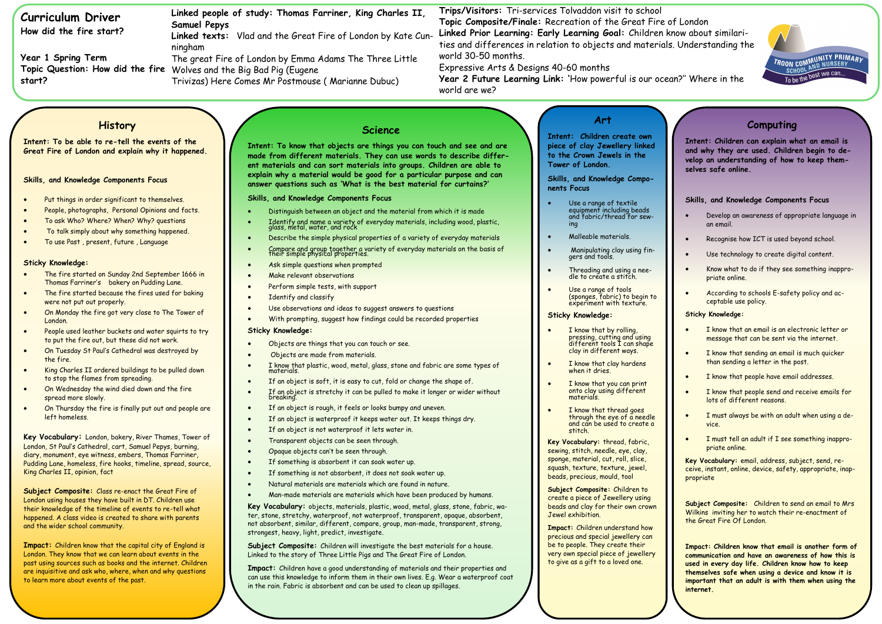# **Curriculum Driver**

**How did the fire start?**

**Year 1 Spring Term Topic Question: How did the fire**  Wolves and the Big Bad Pig (Eugene **start?**

**Trips/Visitors:** Tri-services Tolvaddon visit to school **Topic Composite/Finale:** Recreation of the Great Fire of London **Linked Prior Learning: Early Learning Goal:** Children know about similarities and differences in relation to objects and materials. Understanding the world 30-50 months.

Expressive Arts & Designs 40-60 months

**Year 2 Future Learning Link: '**How powerful is our ocean?'' Where in the world are we?

**Linked people of study: Thomas Farriner, King Charles II, Samuel Pepys**

- Put things in order significant to themselves.
- People, photographs, Personal Opinions and facts.
- To ask Who? Where? When? Why? questions
- To talk simply about why something happened.
- To use Past , present, future , Language

**Linked texts:** Vlad and the Great Fire of London by Kate Cunningham

The great Fire of London by Emma Adams The Three Little

Trivizas) Here Comes Mr Postmouse ( Marianne Dubuc)

# **History**

### **Intent: To be able to re-tell the events of the Great Fire of London and explain why it happened.**

### **Skills, and Knowledge Components Focus**

### **Sticky Knowledge:**

- The fire started on Sunday 2nd September 1666 in Thomas Farriner's bakery on Pudding Lane.
- The fire started because the fires used for baking were not put out properly.
- On Monday the fire got very close to The Tower of London.
- People used leather buckets and water squirts to try to put the fire out, but these did not work.
- On Tuesday St Paul's Cathedral was destroyed by the fire.
- King Charles II ordered buildings to be pulled down to stop the flames from spreading.
- On Wednesday the wind died down and the fire spread more slowly.
- On Thursday the fire is finally put out and people are left homeless.

**Key Vocabulary:** London, bakery, River Thames, Tower of London, St Paul's Cathedral, cart, Samuel Pepys, burning, diary, monument, eye witness, embers, Thomas Farriner, Pudding Lane, homeless, fire hooks, timeline, spread, source, King Charles II, opinion, fact

**Subject Composite:** Class re-enact the Great Fire of London using houses they have built in DT. Children use their knowledge of the timeline of events to re-tell what happened. A class video is created to share with parents and the wider school community.

**Impact:** Children know that the capital city of England is London. They know that we can learn about events in the past using sources such as books and the internet. Children are inquisitive and ask who, where, when and why questions to learn more about events of the past.

### **Science**

- Use a range of textile equipment including beads and fabric/thread for sewing
- Malleable materials.
- Manipulating clay using fingers and tools.
- Threading and using a needle to create a stitch.
- Use a range of tools (sponges, fabric) to begin to experiment with texture.

**Intent: To know that objects are things you can touch and see and are made from different materials. They can use words to describe different materials and can sort materials into groups. Children are able to explain why a material would be good for a particular purpose and can answer questions such as 'What is the best material for curtains?'**

- I know that by rolling, pressing, cutting and using different tools I can shape clay in different ways.
- I know that clay hardens when it dries.
- I know that you can print onto clay using different materials.
- I know that thread goes through the eye of a needle and can be used to create a stitch.

**Skills, and Knowledge Components Focus**

- Distinguish between an object and the material from which it is made
- Identify and name a variety of everyday materials, including wood, plastic, glass, metal, water, and rock
- Describe the simple physical properties of a variety of everyday materials
- Compare and group together a variety of everyday materials on the basis of their simple physical properties.
- Ask simple questions when prompted
- Make relevant observations
- Perform simple tests, with support
- Identify and classify
- Use observations and ideas to suggest answers to questions
- With prompting, suggest how findings could be recorded properties

### **Sticky Knowledge:**

- Objects are things that you can touch or see.
- Objects are made from materials.
- I know that plastic, wood, metal, glass, stone and fabric are some types of
- If an object is soft, it is easy to cut, fold or change the shape of.
- If an object is stretchy it can be pulled to make it longer or wider without<br>breaking.
- If an object is rough, it feels or looks bumpy and uneven.
- If an object is waterproof it keeps water out. It keeps things dry.
- If an object is not waterproof it lets water in.
- Transparent objects can be seen through.
- Opaque objects can't be seen through.
- If something is absorbent it can soak water up.
- If something is not absorbent, it does not soak water up.
- Natural materials are materials which are found in nature.
- Man-made materials are materials which have been produced by humans.

**Key Vocabulary:** objects, materials, plastic, wood, metal, glass, stone, fabric, water, stone, stretchy, waterproof, not waterproof, transparent, opaque, absorbent, not absorbent, similar, different, compare, group, man-made, transparent, strong, strongest, heavy, light, predict, investigate.

**Subject Composite:** Children will investigate the best materials for a house. Linked to the story of Three Little Pigs and The Great Fire of London.

**Impact:** Children have a good understanding of materials and their properties and can use this knowledge to inform them in their own lives. E.g. Wear a waterproof coat in the rain. Fabric is absorbent and can be used to clean up spillages.

## **Art**

**Intent: Children create own piece of clay Jewellery linked to the Crown Jewels in the Tower of London.**

**Skills, and Knowledge Components Focus**

### **Sticky Knowledge:**

**Key Vocabulary:** thread, fabric, sewing, stitch, needle, eye, clay, sponge, material, cut, roll, slice, squash, texture, texture, jewel, beads, precious, mould, tool

**Subject Composite:** Children to create a piece of Jewellery using beads and clay for their own crown Jewel exhibition.

**Impact:** Children understand how precious and special jewellery can be to people. They create their very own special piece of jewellery to give as a gift to a loved one.



| Computing<br>Intent: Children can explain what an email is<br>and why they are used. Children begin to de-<br>velop an understanding of how to keep them-<br>selves safe online. |                                                                                                                                         |
|----------------------------------------------------------------------------------------------------------------------------------------------------------------------------------|-----------------------------------------------------------------------------------------------------------------------------------------|
|                                                                                                                                                                                  |                                                                                                                                         |
|                                                                                                                                                                                  | Skills, and Knowledge Components Focus                                                                                                  |
|                                                                                                                                                                                  |                                                                                                                                         |
|                                                                                                                                                                                  | Develop an awareness of appropriate language in<br>an email.                                                                            |
|                                                                                                                                                                                  | Recognise how ICT is used beyond school.                                                                                                |
|                                                                                                                                                                                  | Use technology to create digital content.                                                                                               |
|                                                                                                                                                                                  | Know what to do if they see something inappro-<br>priate online.                                                                        |
|                                                                                                                                                                                  | According to schools E-safety policy and ac-<br>ceptable use policy.                                                                    |
|                                                                                                                                                                                  | <b>Sticky Knowledge:</b>                                                                                                                |
|                                                                                                                                                                                  | I know that an email is an electronic letter or<br>message that can be sent via the internet.                                           |
|                                                                                                                                                                                  | I know that sending an email is much quicker<br>than sending a letter in the post.                                                      |
|                                                                                                                                                                                  | I know that people have email addresses.                                                                                                |
|                                                                                                                                                                                  | I know that people send and receive emails for<br>lots of different reasons.                                                            |
|                                                                                                                                                                                  | I must always be with an adult when using a de-<br>vice.                                                                                |
|                                                                                                                                                                                  | I must tell an adult if I see something inappro-<br>priate online.                                                                      |
|                                                                                                                                                                                  | Key Vocabulary: email, address, subject, send, re-<br>ceive, instant, online, device, safety, appropriate, inap-<br>propriate           |
|                                                                                                                                                                                  | Subject Composite: Children to send an email to Mrs<br>Wilkins inviting her to watch their re-enactment of<br>the Great Fire Of London. |

**used in every day life. Children know how to keep themselves safe when using a device and know it is important that an adult is with them when using the internet.**